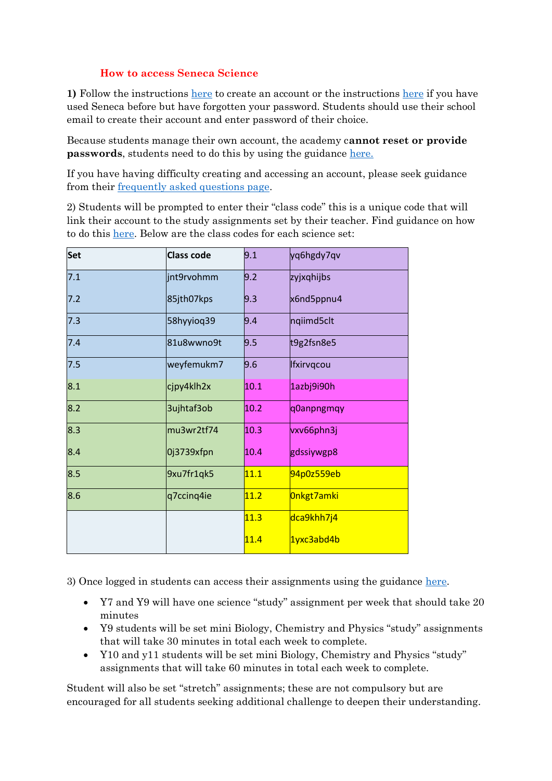## **How to access Seneca Science**

**1)** Follow the instructions [here](https://help.senecalearning.com/en/articles/3661264-how-to-sign-up-log-in-to-seneca-as-a-student) to create an account or the instructions [here](https://help.senecalearning.com/en/articles/2483083-how-do-i-change-or-reset-my-password) if you have used Seneca before but have forgotten your password. Students should use their school email to create their account and enter password of their choice.

Because students manage their own account, the academy c**annot reset or provide passwords**, students need to do this by using the guidance [here.](https://help.senecalearning.com/en/articles/2483083-how-do-i-change-or-reset-my-password)

If you have having difficulty creating and accessing an account, please seek guidance from their [frequently asked questions page.](https://help.senecalearning.com/en/collections/1433510-student-faqs#your-account)

2) Students will be prompted to enter their "class code" this is a unique code that will link their account to the study assignments set by their teacher. Find guidance on how to do this [here.](https://help.senecalearning.com/en/articles/3814511-how-to-join-a-class-with-class-code-from-your-teacher) Below are the class codes for each science set:

| Set | <b>Class code</b> | 9.1  | yq6hgdy7qv |
|-----|-------------------|------|------------|
| 7.1 | jnt9rvohmm        | 9.2  | zyjxqhijbs |
| 7.2 | 85jth07kps        | 9.3  | x6nd5ppnu4 |
| 7.3 | 58hyyioq39        | 9.4  | nqiimd5clt |
| 7.4 | 81u8wwno9t        | 9.5  | t9g2fsn8e5 |
| 7.5 | weyfemukm7        | 9.6  | Ifxirvqcou |
| 8.1 | cjpy4klh2x        | 10.1 | 1azbj9i90h |
| 8.2 | 3ujhtaf3ob        | 10.2 | q0anpngmqy |
| 8.3 | mu3wr2tf74        | 10.3 | vxv66phn3j |
| 8.4 | 0j3739xfpn        | 10.4 | gdssiywgp8 |
| 8.5 | 9xu7fr1qk5        | 11.1 | 94p0z559eb |
| 8.6 | q7ccinq4ie        | 11.2 | Onkgt7amki |
|     |                   | 11.3 | dca9khh7j4 |
|     |                   | 11.4 | 1yxc3abd4b |

3) Once logged in students can access their assignments using the guidance [here.](https://help.senecalearning.com/en/articles/3807090-how-to-find-your-assignments-as-a-student)

- Y7 and Y9 will have one science "study" assignment per week that should take 20 minutes
- Y9 students will be set mini Biology, Chemistry and Physics "study" assignments that will take 30 minutes in total each week to complete.
- Y10 and y11 students will be set mini Biology, Chemistry and Physics "study" assignments that will take 60 minutes in total each week to complete.

Student will also be set "stretch" assignments; these are not compulsory but are encouraged for all students seeking additional challenge to deepen their understanding.